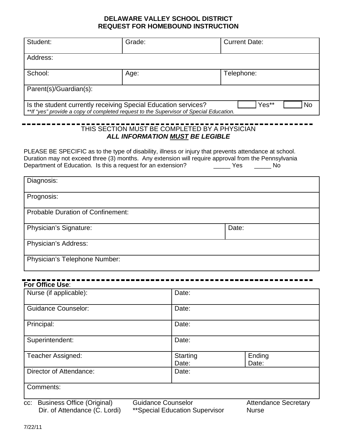## **DELAWARE VALLEY SCHOOL DISTRICT REQUEST FOR HOMEBOUND INSTRUCTION**

| Student:                                                                                                                                                                                                                                                                                                                                                                                            | Grade: | <b>Current Date:</b> |  |  |
|-----------------------------------------------------------------------------------------------------------------------------------------------------------------------------------------------------------------------------------------------------------------------------------------------------------------------------------------------------------------------------------------------------|--------|----------------------|--|--|
| Address:                                                                                                                                                                                                                                                                                                                                                                                            |        |                      |  |  |
| School:                                                                                                                                                                                                                                                                                                                                                                                             | Age:   | Telephone:           |  |  |
| Parent(s)/Guardian(s):                                                                                                                                                                                                                                                                                                                                                                              |        |                      |  |  |
| Yes**<br><b>No</b><br>Is the student currently receiving Special Education services?<br>**If "yes" provide a copy of completed request to the Supervisor of Special Education.                                                                                                                                                                                                                      |        |                      |  |  |
| THIS SECTION MUST BE COMPLETED BY A PHYSICIAN<br>ALL INFORMATION MUST BE LEGIBLE<br>PLEASE BE SPECIFIC as to the type of disability, illness or injury that prevents attendance at school.<br>Duration may not exceed three (3) months. Any extension will require approval from the Pennsylvania<br>Department of Education. Is this a request for an extension? The State of the Yes<br><b>No</b> |        |                      |  |  |
| Diagnosis:                                                                                                                                                                                                                                                                                                                                                                                          |        |                      |  |  |
| Prognosis:                                                                                                                                                                                                                                                                                                                                                                                          |        |                      |  |  |
| <b>Probable Duration of Confinement:</b>                                                                                                                                                                                                                                                                                                                                                            |        |                      |  |  |
| <b>Physician's Signature:</b>                                                                                                                                                                                                                                                                                                                                                                       |        | Date:                |  |  |
| <b>Physician's Address:</b>                                                                                                                                                                                                                                                                                                                                                                         |        |                      |  |  |
| Physician's Telephone Number:                                                                                                                                                                                                                                                                                                                                                                       |        |                      |  |  |

| Nurse (if applicable):                                                    | Date:                                                       |                                             |  |
|---------------------------------------------------------------------------|-------------------------------------------------------------|---------------------------------------------|--|
| <b>Guidance Counselor:</b>                                                | Date:                                                       |                                             |  |
| Principal:                                                                | Date:                                                       |                                             |  |
| Superintendent:                                                           | Date:                                                       |                                             |  |
| <b>Teacher Assigned:</b>                                                  | <b>Starting</b><br>Date:                                    | Ending<br>Date:                             |  |
| Director of Attendance:                                                   | Date:                                                       |                                             |  |
| Comments:                                                                 |                                                             |                                             |  |
| <b>Business Office (Original)</b><br>CC:<br>Dir. of Attendance (C. Lordi) | <b>Guidance Counselor</b><br>**Special Education Supervisor | <b>Attendance Secretary</b><br><b>Nurse</b> |  |